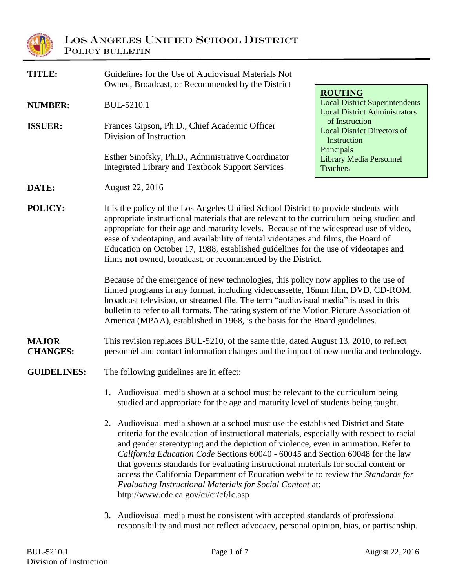

| TITLE:                          | Guidelines for the Use of Audiovisual Materials Not<br>Owned, Broadcast, or Recommended by the District                                                                                                                                                                                                                                                                                                                                                                                                                                                                                                                                   |                                                                                                                                                                        |  |
|---------------------------------|-------------------------------------------------------------------------------------------------------------------------------------------------------------------------------------------------------------------------------------------------------------------------------------------------------------------------------------------------------------------------------------------------------------------------------------------------------------------------------------------------------------------------------------------------------------------------------------------------------------------------------------------|------------------------------------------------------------------------------------------------------------------------------------------------------------------------|--|
| <b>NUMBER:</b>                  | BUL-5210.1                                                                                                                                                                                                                                                                                                                                                                                                                                                                                                                                                                                                                                | <b>ROUTING</b><br><b>Local District Superintendents</b><br><b>Local District Administrators</b><br>of Instruction<br><b>Local District Directors of</b><br>Instruction |  |
| <b>ISSUER:</b>                  | Frances Gipson, Ph.D., Chief Academic Officer<br>Division of Instruction                                                                                                                                                                                                                                                                                                                                                                                                                                                                                                                                                                  |                                                                                                                                                                        |  |
|                                 | Esther Sinofsky, Ph.D., Administrative Coordinator<br><b>Integrated Library and Textbook Support Services</b>                                                                                                                                                                                                                                                                                                                                                                                                                                                                                                                             | Principals<br><b>Library Media Personnel</b><br><b>Teachers</b>                                                                                                        |  |
| DATE:                           | August 22, 2016                                                                                                                                                                                                                                                                                                                                                                                                                                                                                                                                                                                                                           |                                                                                                                                                                        |  |
| POLICY:                         | It is the policy of the Los Angeles Unified School District to provide students with<br>appropriate instructional materials that are relevant to the curriculum being studied and<br>appropriate for their age and maturity levels. Because of the widespread use of video,<br>ease of videotaping, and availability of rental videotapes and films, the Board of<br>Education on October 17, 1988, established guidelines for the use of videotapes and<br>films not owned, broadcast, or recommended by the District.                                                                                                                   |                                                                                                                                                                        |  |
|                                 | Because of the emergence of new technologies, this policy now applies to the use of<br>filmed programs in any format, including videocassette, 16mm film, DVD, CD-ROM,<br>broadcast television, or streamed file. The term "audiovisual media" is used in this<br>bulletin to refer to all formats. The rating system of the Motion Picture Association of<br>America (MPAA), established in 1968, is the basis for the Board guidelines.                                                                                                                                                                                                 |                                                                                                                                                                        |  |
| <b>MAJOR</b><br><b>CHANGES:</b> | This revision replaces BUL-5210, of the same title, dated August 13, 2010, to reflect<br>personnel and contact information changes and the impact of new media and technology.                                                                                                                                                                                                                                                                                                                                                                                                                                                            |                                                                                                                                                                        |  |
| <b>GUIDELINES:</b>              | The following guidelines are in effect:                                                                                                                                                                                                                                                                                                                                                                                                                                                                                                                                                                                                   |                                                                                                                                                                        |  |
|                                 | 1. Audiovisual media shown at a school must be relevant to the curriculum being<br>studied and appropriate for the age and maturity level of students being taught.                                                                                                                                                                                                                                                                                                                                                                                                                                                                       |                                                                                                                                                                        |  |
|                                 | 2. Audiovisual media shown at a school must use the established District and State<br>criteria for the evaluation of instructional materials, especially with respect to racial<br>and gender stereotyping and the depiction of violence, even in animation. Refer to<br>California Education Code Sections 60040 - 60045 and Section 60048 for the law<br>that governs standards for evaluating instructional materials for social content or<br>access the California Department of Education website to review the Standards for<br>Evaluating Instructional Materials for Social Content at:<br>http://www.cde.ca.gov/ci/cr/cf/lc.asp |                                                                                                                                                                        |  |
|                                 | 3. Audiovisual media must be consistent with accepted standards of professional<br>responsibility and must not reflect advocacy, personal opinion, bias, or partisanship.                                                                                                                                                                                                                                                                                                                                                                                                                                                                 |                                                                                                                                                                        |  |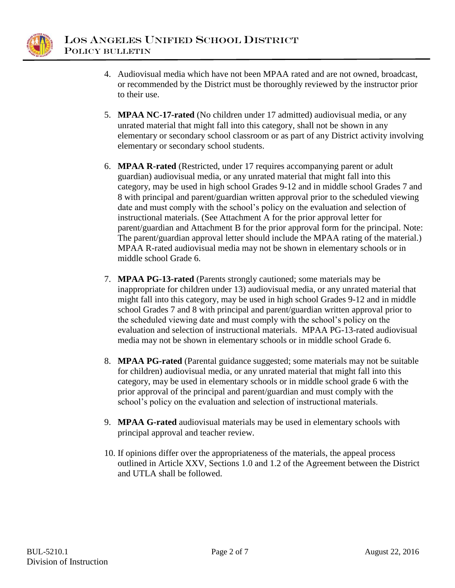

- 4. Audiovisual media which have not been MPAA rated and are not owned, broadcast, or recommended by the District must be thoroughly reviewed by the instructor prior to their use.
- 5. **MPAA NC-17-rated** (No children under 17 admitted) audiovisual media, or any unrated material that might fall into this category, shall not be shown in any elementary or secondary school classroom or as part of any District activity involving elementary or secondary school students.
- 6. **MPAA R-rated** (Restricted, under 17 requires accompanying parent or adult guardian) audiovisual media, or any unrated material that might fall into this category, may be used in high school Grades 9-12 and in middle school Grades 7 and 8 with principal and parent/guardian written approval prior to the scheduled viewing date and must comply with the school's policy on the evaluation and selection of instructional materials. (See Attachment A for the prior approval letter for parent/guardian and Attachment B for the prior approval form for the principal. Note: The parent/guardian approval letter should include the MPAA rating of the material.) MPAA R-rated audiovisual media may not be shown in elementary schools or in middle school Grade 6.
- 7. **MPAA PG-13-rated** (Parents strongly cautioned; some materials may be inappropriate for children under 13) audiovisual media, or any unrated material that might fall into this category, may be used in high school Grades 9-12 and in middle school Grades 7 and 8 with principal and parent/guardian written approval prior to the scheduled viewing date and must comply with the school's policy on the evaluation and selection of instructional materials. MPAA PG-13-rated audiovisual media may not be shown in elementary schools or in middle school Grade 6.
- 8. **MPAA PG-rated** (Parental guidance suggested; some materials may not be suitable for children) audiovisual media, or any unrated material that might fall into this category, may be used in elementary schools or in middle school grade 6 with the prior approval of the principal and parent/guardian and must comply with the school's policy on the evaluation and selection of instructional materials.
- 9. **MPAA G-rated** audiovisual materials may be used in elementary schools with principal approval and teacher review.
- 10. If opinions differ over the appropriateness of the materials, the appeal process outlined in Article XXV, Sections 1.0 and 1.2 of the Agreement between the District and UTLA shall be followed.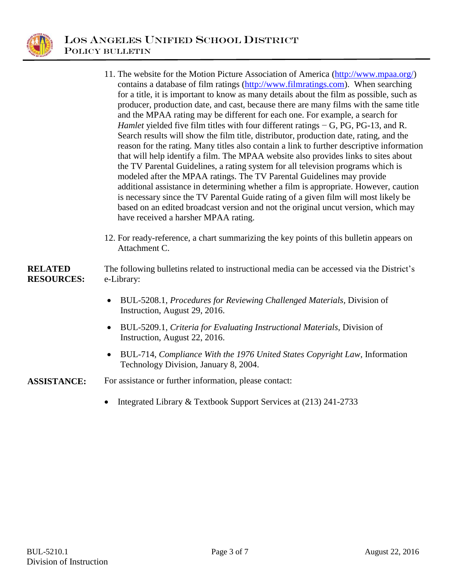

- 11. The website for the Motion Picture Association of America [\(http://www.mpaa.org/\)](http://www.mpaa.org/) contains a database of film ratings [\(http://www.filmratings.com\)](http://www.filmratings.com/). When searching for a title, it is important to know as many details about the film as possible, such as producer, production date, and cast, because there are many films with the same title and the MPAA rating may be different for each one. For example, a search for *Hamlet* yielded five film titles with four different ratings − G, PG, PG-13, and R. Search results will show the film title, distributor, production date, rating, and the reason for the rating. Many titles also contain a link to further descriptive information that will help identify a film. The MPAA website also provides links to sites about the TV Parental Guidelines, a rating system for all television programs which is modeled after the MPAA ratings. The TV Parental Guidelines may provide additional assistance in determining whether a film is appropriate. However, caution is necessary since the TV Parental Guide rating of a given film will most likely be based on an edited broadcast version and not the original uncut version, which may have received a harsher MPAA rating.
	- 12. For ready-reference, a chart summarizing the key points of this bulletin appears on Attachment C.

#### **RELATED RESOURCES:** The following bulletins related to instructional media can be accessed via the District's e-Library:

- BUL-5208.1, *Procedures for Reviewing Challenged Materials,* Division of Instruction, August 29, 2016.
- BUL-5209.1, *Criteria for Evaluating Instructional Materials*, Division of Instruction, August 22, 2016.
- BUL-714, *Compliance With the 1976 United States Copyright Law,* Information Technology Division, January 8, 2004.

**ASSISTANCE:** For assistance or further information, please contact:

• Integrated Library & Textbook Support Services at (213) 241-2733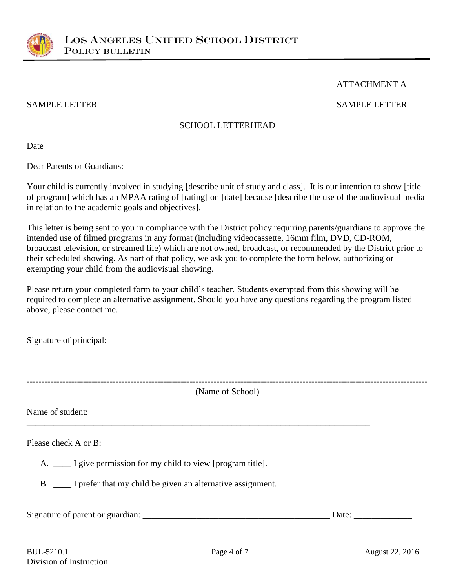

## ATTACHMENT A

# SAMPLE LETTER SAMPLE LETTER

## SCHOOL LETTERHEAD

Date

Dear Parents or Guardians:

Your child is currently involved in studying [describe unit of study and class]. It is our intention to show [title of program] which has an MPAA rating of [rating] on [date] because [describe the use of the audiovisual media in relation to the academic goals and objectives].

This letter is being sent to you in compliance with the District policy requiring parents/guardians to approve the intended use of filmed programs in any format (including videocassette, 16mm film, DVD, CD-ROM, broadcast television, or streamed file) which are not owned, broadcast, or recommended by the District prior to their scheduled showing. As part of that policy, we ask you to complete the form below, authorizing or exempting your child from the audiovisual showing.

Please return your completed form to your child's teacher. Students exempted from this showing will be required to complete an alternative assignment. Should you have any questions regarding the program listed above, please contact me.

\_\_\_\_\_\_\_\_\_\_\_\_\_\_\_\_\_\_\_\_\_\_\_\_\_\_\_\_\_\_\_\_\_\_\_\_\_\_\_\_\_\_\_\_\_\_\_\_\_\_\_\_\_\_\_\_\_\_\_\_\_\_\_\_\_\_\_\_\_\_\_\_

\_\_\_\_\_\_\_\_\_\_\_\_\_\_\_\_\_\_\_\_\_\_\_\_\_\_\_\_\_\_\_\_\_\_\_\_\_\_\_\_\_\_\_\_\_\_\_\_\_\_\_\_\_\_\_\_\_\_\_\_\_\_\_\_\_\_\_\_\_\_\_\_\_\_\_\_\_

Signature of principal:

(Name of School)

---------------------------------------------------------------------------------------------------------------------------------------

Name of student:

Please check A or B:

A. \_\_\_\_\_ I give permission for my child to view [program title].

B. \_\_\_\_ I prefer that my child be given an alternative assignment.

Signature of parent or guardian: \_\_\_\_\_\_\_\_\_\_\_\_\_\_\_\_\_\_\_\_\_\_\_\_\_\_\_\_\_\_\_\_\_\_\_\_\_\_\_\_\_\_ Date: \_\_\_\_\_\_\_\_\_\_\_\_\_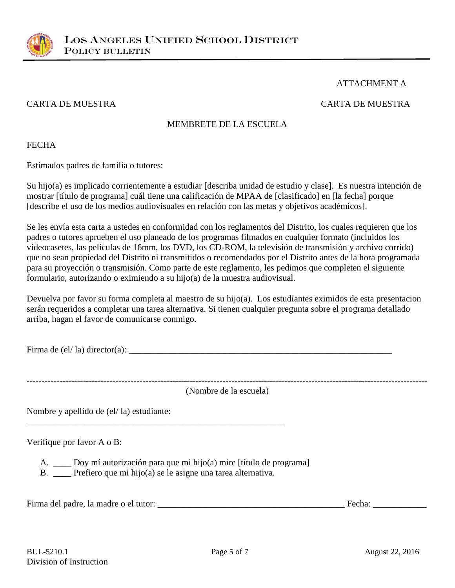

# ATTACHMENT A

## CARTA DE MUESTRA CARTA DE MUESTRA

# MEMBRETE DE LA ESCUELA

## **FECHA**

Estimados padres de familia o tutores:

Su hijo(a) es implicado corrientemente a estudiar [describa unidad de estudio y clase]. Es nuestra intención de mostrar [título de programa] cuál tiene una calificación de MPAA de [clasificado] en [la fecha] porque [describe el uso de los medios audiovisuales en relación con las metas y objetivos académicos].

Se les envía esta carta a ustedes en conformidad con los reglamentos del Distrito, los cuales requieren que los padres o tutores aprueben el uso planeado de los programas filmados en cualquier formato (incluidos los videocasetes, las películas de 16mm, los DVD, los CD-ROM, la televisión de transmisión y archivo corrido) que no sean propiedad del Distrito ni transmitidos o recomendados por el Distrito antes de la hora programada para su proyección o transmisión. Como parte de este reglamento, les pedimos que completen el siguiente formulario, autorizando o eximiendo a su hijo(a) de la muestra audiovisual.

Devuelva por favor su forma completa al maestro de su hijo(a). Los estudiantes eximidos de esta presentacion serán requeridos a completar una tarea alternativa. Si tienen cualquier pregunta sobre el programa detallado arriba, hagan el favor de comunicarse conmigo.

Firma de (el/ la) director(a): \_\_\_\_\_\_\_\_\_\_\_\_\_\_\_\_\_\_\_\_\_\_\_\_\_\_\_\_\_\_\_\_\_\_\_\_\_\_\_\_\_\_\_\_\_\_\_\_\_\_\_\_\_\_\_\_\_\_\_

--------------------------------------------------------------------------------------------------------------------------------------- (Nombre de la escuela)

Nombre y apellido de (el/ la) estudiante:

Verifique por favor A o B:

A. \_\_\_\_ Doy mí autorización para que mi hijo(a) mire [título de programa]

B. \_\_\_\_ Prefiero que mi hijo(a) se le asigne una tarea alternativa.

\_\_\_\_\_\_\_\_\_\_\_\_\_\_\_\_\_\_\_\_\_\_\_\_\_\_\_\_\_\_\_\_\_\_\_\_\_\_\_\_\_\_\_\_\_\_\_\_\_\_\_\_\_\_\_\_\_\_

Firma del padre, la madre o el tutor: \_\_\_\_\_\_\_\_\_\_\_\_\_\_\_\_\_\_\_\_\_\_\_\_\_\_\_\_\_\_\_\_\_\_\_\_\_\_\_\_\_\_ Fecha: \_\_\_\_\_\_\_\_\_\_\_\_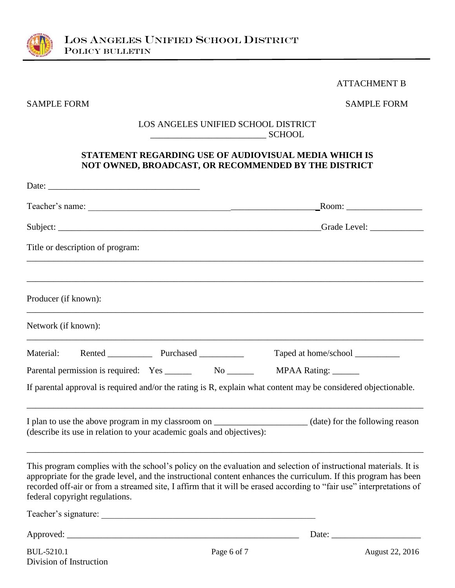

#### ATTACHMENT B

SAMPLE FORM SAMPLE FORM

#### LOS ANGELES UNIFIED SCHOOL DISTRICT \_\_\_\_\_\_\_\_\_\_\_\_\_\_\_\_\_\_\_\_\_\_\_\_\_\_ SCHOOL

# **STATEMENT REGARDING USE OF AUDIOVISUAL MEDIA WHICH IS NOT OWNED, BROADCAST, OR RECOMMENDED BY THE DISTRICT**

| Date: $\overline{\phantom{a}}$                                                                                                                                                                                                                                                                                                                                                                 |                                                                                                                                                                                                                                |
|------------------------------------------------------------------------------------------------------------------------------------------------------------------------------------------------------------------------------------------------------------------------------------------------------------------------------------------------------------------------------------------------|--------------------------------------------------------------------------------------------------------------------------------------------------------------------------------------------------------------------------------|
|                                                                                                                                                                                                                                                                                                                                                                                                | Room: New York Changes and Security Property of the Security Property of the Security Property of the Security Property of the Security Property of the Security Property of the Security Property of the Security Property of |
|                                                                                                                                                                                                                                                                                                                                                                                                |                                                                                                                                                                                                                                |
| Title or description of program:                                                                                                                                                                                                                                                                                                                                                               |                                                                                                                                                                                                                                |
| Producer (if known):                                                                                                                                                                                                                                                                                                                                                                           |                                                                                                                                                                                                                                |
| Network (if known):                                                                                                                                                                                                                                                                                                                                                                            |                                                                                                                                                                                                                                |
| Material: Rented ______________ Purchased __________                                                                                                                                                                                                                                                                                                                                           |                                                                                                                                                                                                                                |
| Parental permission is required: Yes ________ No _______ MPAA Rating: _____                                                                                                                                                                                                                                                                                                                    |                                                                                                                                                                                                                                |
| If parental approval is required and/or the rating is R, explain what content may be considered objectionable.                                                                                                                                                                                                                                                                                 |                                                                                                                                                                                                                                |
| I plan to use the above program in my classroom on _______________________(date) for the following reason<br>(describe its use in relation to your academic goals and objectives):                                                                                                                                                                                                             |                                                                                                                                                                                                                                |
| This program complies with the school's policy on the evaluation and selection of instructional materials. It is<br>appropriate for the grade level, and the instructional content enhances the curriculum. If this program has been<br>recorded off-air or from a streamed site, I affirm that it will be erased according to "fair use" interpretations of<br>federal copyright regulations. |                                                                                                                                                                                                                                |
|                                                                                                                                                                                                                                                                                                                                                                                                |                                                                                                                                                                                                                                |
| Approved:                                                                                                                                                                                                                                                                                                                                                                                      | Date:                                                                                                                                                                                                                          |